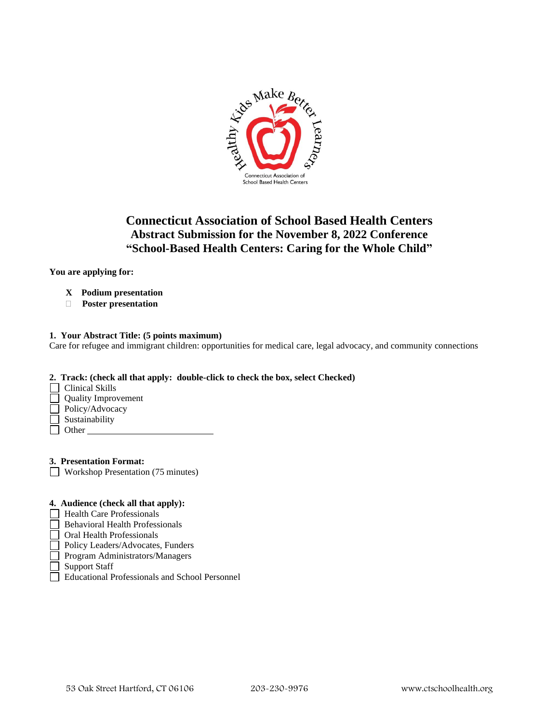

# **Connecticut Association of School Based Health Centers Abstract Submission for the November 8, 2022 Conference "School-Based Health Centers: Caring for the Whole Child"**

**You are applying for:**

- **X Podium presentation**
- **Poster presentation**

## **1. Your Abstract Title: (5 points maximum)**

Care for refugee and immigrant children: opportunities for medical care, legal advocacy, and community connections

## **2. Track: (check all that apply: double-click to check the box, select Checked)**

- $\Box$  Clinical Skills
- Quality Improvement
- Policy/Advocacy
- Sustainability
- $\Box$  Other

**3. Presentation Format:**

Workshop Presentation (75 minutes)

## **4. Audience (check all that apply):**

- $\Box$  Health Care Professionals
- $\Box$  Behavioral Health Professionals
- Oral Health Professionals
- Policy Leaders/Advocates, Funders
- Program Administrators/Managers
- Support Staff
- Educational Professionals and School Personnel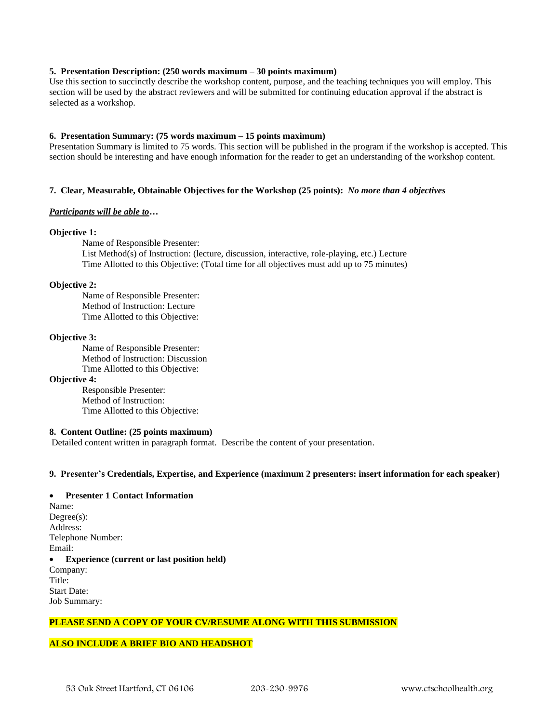#### **5. Presentation Description: (250 words maximum – 30 points maximum)**

Use this section to succinctly describe the workshop content, purpose, and the teaching techniques you will employ. This section will be used by the abstract reviewers and will be submitted for continuing education approval if the abstract is selected as a workshop.

## **6. Presentation Summary: (75 words maximum – 15 points maximum)**

Presentation Summary is limited to 75 words. This section will be published in the program if the workshop is accepted. This section should be interesting and have enough information for the reader to get an understanding of the workshop content.

## **7. Clear, Measurable, Obtainable Objectives for the Workshop (25 points):** *No more than 4 objectives*

#### *Participants will be able to…*

#### **Objective 1:**

Name of Responsible Presenter: List Method(s) of Instruction: (lecture, discussion, interactive, role-playing, etc.) Lecture Time Allotted to this Objective: (Total time for all objectives must add up to 75 minutes)

#### **Objective 2:**

Name of Responsible Presenter: Method of Instruction: Lecture Time Allotted to this Objective:

#### **Objective 3:**

Name of Responsible Presenter: Method of Instruction: Discussion Time Allotted to this Objective:

#### **Objective 4:**

Responsible Presenter: Method of Instruction: Time Allotted to this Objective:

## **8. Content Outline: (25 points maximum)**

Detailed content written in paragraph format. Describe the content of your presentation.

#### **9. Presenter's Credentials, Expertise, and Experience (maximum 2 presenters: insert information for each speaker)**

### • **Presenter 1 Contact Information**

Name: Degree(s): Address: Telephone Number: Email: • **Experience (current or last position held)**  Company: Title: Start Date: Job Summary:

## **PLEASE SEND A COPY OF YOUR CV/RESUME ALONG WITH THIS SUBMISSION**

#### **ALSO INCLUDE A BRIEF BIO AND HEADSHOT**